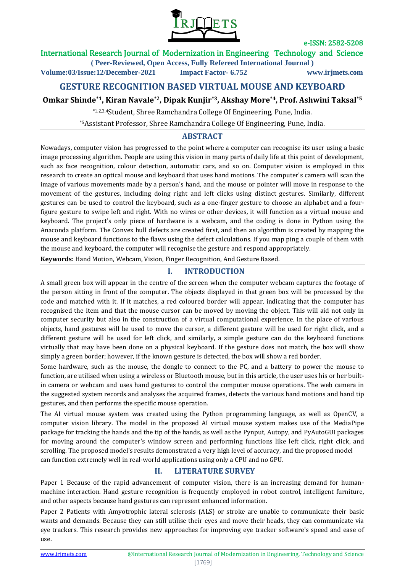

e-ISSN: 2582-5208

#### International Research Journal of Modernization in Engineering Technology and Science

**( Peer-Reviewed, Open Access, Fully Refereed International Journal )**

# **Volume:03/Issue:12/December-2021 Impact Factor- 6.752 www.irjmets.com**

**GESTURE RECOGNITION BASED VIRTUAL MOUSE AND KEYBOARD**

### **Omkar Shinde\*1, Kiran Navale\*2, Dipak Kunjir\*3, Akshay More\*4, Prof. Ashwini Taksal\*5**

\*1,2,3,4Student, Shree Ramchandra College Of Engineering, Pune, India.

\*5Assistant Professor, Shree Ramchandra College Of Engineering, Pune, India.

#### **ABSTRACT**

Nowadays, computer vision has progressed to the point where a computer can recognise its user using a basic image processing algorithm. People are using this vision in many parts of daily life at this point of development, such as face recognition, colour detection, automatic cars, and so on. Computer vision is employed in this research to create an optical mouse and keyboard that uses hand motions. The computer's camera will scan the image of various movements made by a person's hand, and the mouse or pointer will move in response to the movement of the gestures, including doing right and left clicks using distinct gestures. Similarly, different gestures can be used to control the keyboard, such as a one-finger gesture to choose an alphabet and a fourfigure gesture to swipe left and right. With no wires or other devices, it will function as a virtual mouse and keyboard. The project's only piece of hardware is a webcam, and the coding is done in Python using the Anaconda platform. The Convex hull defects are created first, and then an algorithm is created by mapping the mouse and keyboard functions to the flaws using the defect calculations. If you map ping a couple of them with the mouse and keyboard, the computer will recognise the gesture and respond appropriately.

**Keywords:** Hand Motion, Webcam, Vision, Finger Recognition, And Gesture Based.

## **I. INTRODUCTION**

A small green box will appear in the centre of the screen when the computer webcam captures the footage of the person sitting in front of the computer. The objects displayed in that green box will be processed by the code and matched with it. If it matches, a red coloured border will appear, indicating that the computer has recognised the item and that the mouse cursor can be moved by moving the object. This will aid not only in computer security but also in the construction of a virtual computational experience. In the place of various objects, hand gestures will be used to move the cursor, a different gesture will be used for right click, and a different gesture will be used for left click, and similarly, a simple gesture can do the keyboard functions virtually that may have been done on a physical keyboard. If the gesture does not match, the box will show simply a green border; however, if the known gesture is detected, the box will show a red border.

Some hardware, such as the mouse, the dongle to connect to the PC, and a battery to power the mouse to function, are utilised when using a wireless or Bluetooth mouse, but in this article, the user uses his or her builtin camera or webcam and uses hand gestures to control the computer mouse operations. The web camera in the suggested system records and analyses the acquired frames, detects the various hand motions and hand tip gestures, and then performs the specific mouse operation.

The AI virtual mouse system was created using the Python programming language, as well as OpenCV, a computer vision library. The model in the proposed AI virtual mouse system makes use of the MediaPipe package for tracking the hands and the tip of the hands, as well as the Pynput, Autopy, and PyAutoGUI packages for moving around the computer's window screen and performing functions like left click, right click, and scrolling. The proposed model's results demonstrated a very high level of accuracy, and the proposed model can function extremely well in real-world applications using only a CPU and no GPU.

#### **II. LITERATURE SURVEY**

Paper 1 Because of the rapid advancement of computer vision, there is an increasing demand for humanmachine interaction. Hand gesture recognition is frequently employed in robot control, intelligent furniture, and other aspects because hand gestures can represent enhanced information.

Paper 2 Patients with Amyotrophic lateral sclerosis (ALS) or stroke are unable to communicate their basic wants and demands. Because they can still utilise their eyes and move their heads, they can communicate via eye trackers. This research provides new approaches for improving eye tracker software's speed and ease of use.